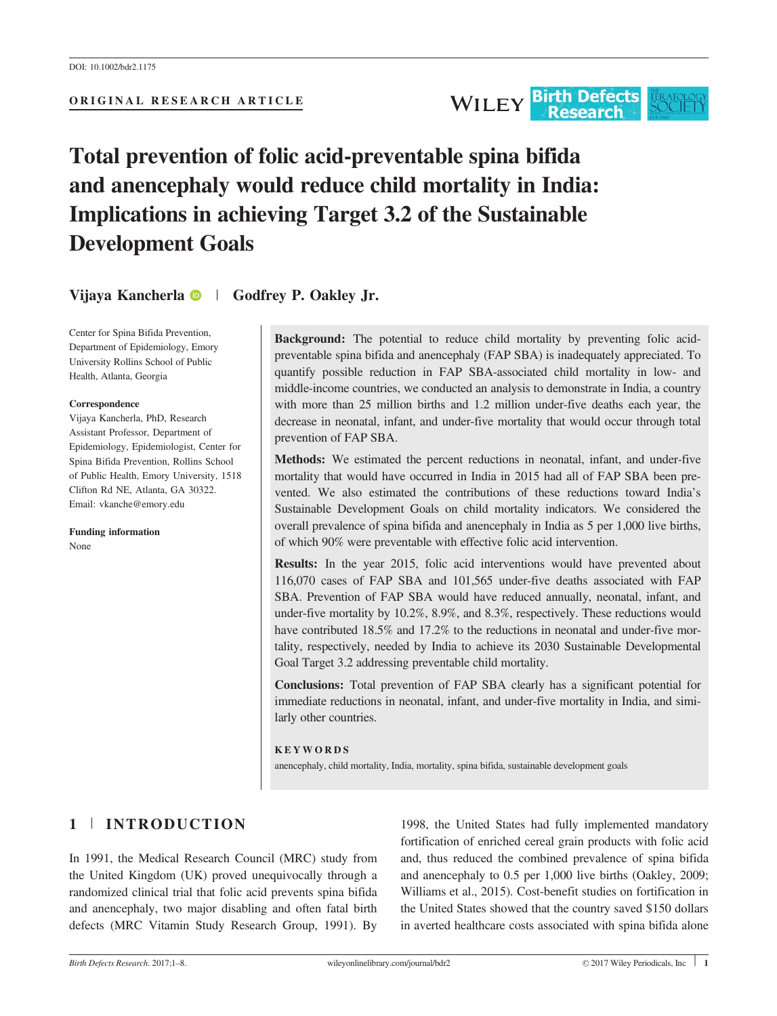# Total prevention of folic acid-preventable spina bifida and anencephaly would reduce child mortality in India: Implications in achieving Target 3.2 of the Sustainable

Vijaya Kancherla <sup>1</sup> | Godfrey P. Oakley Jr.

Center for Spina Bifida Prevention, Department of Epidemiology, Emory University Rollins School of Public Health, Atlanta, Georgia

Development Goals

#### Correspondence

Vijaya Kancherla, PhD, Research Assistant Professor, Department of Epidemiology, Epidemiologist, Center for Spina Bifida Prevention, Rollins School of Public Health, Emory University, 1518 Clifton Rd NE, Atlanta, GA 30322. Email: vkanche@emory.edu

Funding information None

> Conclusions: Total prevention of FAP SBA clearly has a significant potential for immediate reductions in neonatal, infant, and under-five mortality in India, and similarly other countries.

#### KEYWORDS

anencephaly, child mortality, India, mortality, spina bifida, sustainable development goals

# 1 <sup>|</sup> INTRODUCTION

In 1991, the Medical Research Council (MRC) study from the United Kingdom (UK) proved unequivocally through a randomized clinical trial that folic acid prevents spina bifida and anencephaly, two major disabling and often fatal birth defects (MRC Vitamin Study Research Group, 1991). By 1998, the United States had fully implemented mandatory fortification of enriched cereal grain products with folic acid and, thus reduced the combined prevalence of spina bifida and anencephaly to 0.5 per 1,000 live births (Oakley, 2009; Williams et al., 2015). Cost-benefit studies on fortification in the United States showed that the country saved \$150 dollars in averted healthcare costs associated with spina bifida alone

Background: The potential to reduce child mortality by preventing folic acidpreventable spina bifida and anencephaly (FAP SBA) is inadequately appreciated. To quantify possible reduction in FAP SBA-associated child mortality in low- and middle-income countries, we conducted an analysis to demonstrate in India, a country with more than 25 million births and 1.2 million under-five deaths each year, the decrease in neonatal, infant, and under-five mortality that would occur through total prevention of FAP SBA.

Methods: We estimated the percent reductions in neonatal, infant, and under-five mortality that would have occurred in India in 2015 had all of FAP SBA been prevented. We also estimated the contributions of these reductions toward India's Sustainable Development Goals on child mortality indicators. We considered the overall prevalence of spina bifida and anencephaly in India as 5 per 1,000 live births, of which 90% were preventable with effective folic acid intervention.

Results: In the year 2015, folic acid interventions would have prevented about 116,070 cases of FAP SBA and 101,565 under-five deaths associated with FAP SBA. Prevention of FAP SBA would have reduced annually, neonatal, infant, and under-five mortality by 10.2%, 8.9%, and 8.3%, respectively. These reductions would have contributed 18.5% and 17.2% to the reductions in neonatal and under-five mortality, respectively, needed by India to achieve its 2030 Sustainable Developmental Goal Target 3.2 addressing preventable child mortality.

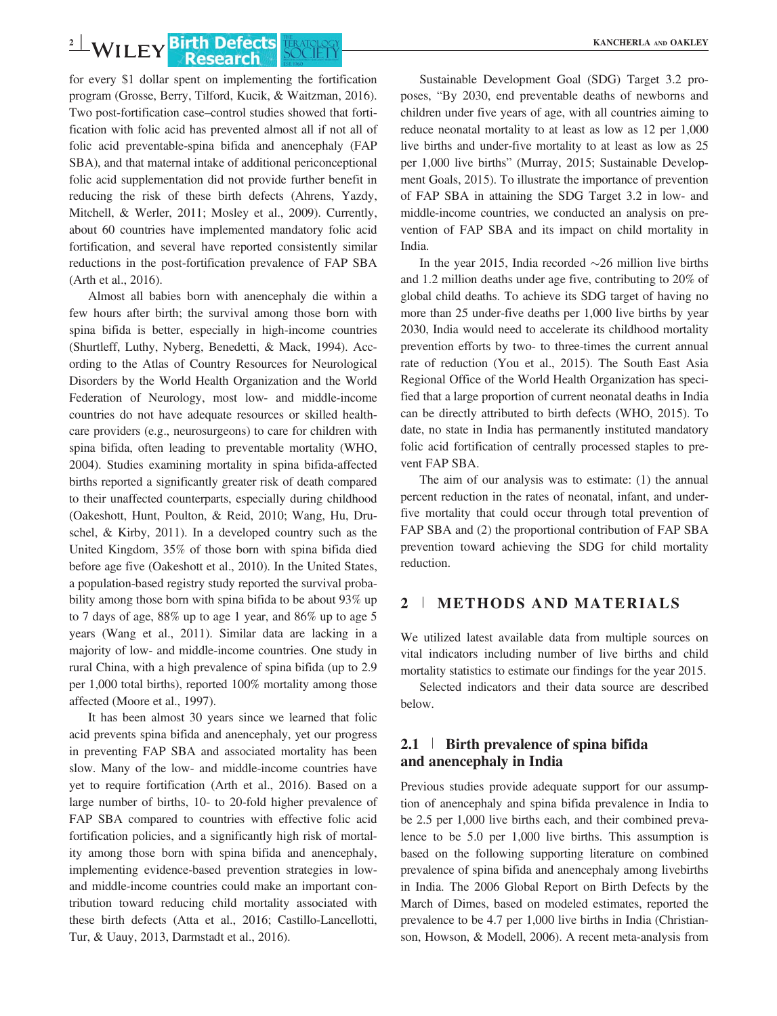for every \$1 dollar spent on implementing the fortification program (Grosse, Berry, Tilford, Kucik, & Waitzman, 2016). Two post-fortification case–control studies showed that fortification with folic acid has prevented almost all if not all of folic acid preventable-spina bifida and anencephaly (FAP SBA), and that maternal intake of additional periconceptional folic acid supplementation did not provide further benefit in reducing the risk of these birth defects (Ahrens, Yazdy, Mitchell, & Werler, 2011; Mosley et al., 2009). Currently, about 60 countries have implemented mandatory folic acid fortification, and several have reported consistently similar reductions in the post-fortification prevalence of FAP SBA (Arth et al., 2016).

Almost all babies born with anencephaly die within a few hours after birth; the survival among those born with spina bifida is better, especially in high-income countries (Shurtleff, Luthy, Nyberg, Benedetti, & Mack, 1994). According to the Atlas of Country Resources for Neurological Disorders by the World Health Organization and the World Federation of Neurology, most low- and middle-income countries do not have adequate resources or skilled healthcare providers (e.g., neurosurgeons) to care for children with spina bifida, often leading to preventable mortality (WHO, 2004). Studies examining mortality in spina bifida-affected births reported a significantly greater risk of death compared to their unaffected counterparts, especially during childhood (Oakeshott, Hunt, Poulton, & Reid, 2010; Wang, Hu, Druschel, & Kirby, 2011). In a developed country such as the United Kingdom, 35% of those born with spina bifida died before age five (Oakeshott et al., 2010). In the United States, a population-based registry study reported the survival probability among those born with spina bifida to be about 93% up to 7 days of age, 88% up to age 1 year, and 86% up to age 5 years (Wang et al., 2011). Similar data are lacking in a majority of low- and middle-income countries. One study in rural China, with a high prevalence of spina bifida (up to 2.9 per 1,000 total births), reported 100% mortality among those affected (Moore et al., 1997).

It has been almost 30 years since we learned that folic acid prevents spina bifida and anencephaly, yet our progress in preventing FAP SBA and associated mortality has been slow. Many of the low- and middle-income countries have yet to require fortification (Arth et al., 2016). Based on a large number of births, 10- to 20-fold higher prevalence of FAP SBA compared to countries with effective folic acid fortification policies, and a significantly high risk of mortality among those born with spina bifida and anencephaly, implementing evidence-based prevention strategies in lowand middle-income countries could make an important contribution toward reducing child mortality associated with these birth defects (Atta et al., 2016; Castillo-Lancellotti, Tur, & Uauy, 2013, Darmstadt et al., 2016).

Sustainable Development Goal (SDG) Target 3.2 proposes, "By 2030, end preventable deaths of newborns and children under five years of age, with all countries aiming to reduce neonatal mortality to at least as low as 12 per 1,000 live births and under-five mortality to at least as low as 25 per 1,000 live births" (Murray, 2015; Sustainable Development Goals, 2015). To illustrate the importance of prevention of FAP SBA in attaining the SDG Target 3.2 in low- and middle-income countries, we conducted an analysis on prevention of FAP SBA and its impact on child mortality in India.

In the year 2015, India recorded  $\sim$ 26 million live births and 1.2 million deaths under age five, contributing to 20% of global child deaths. To achieve its SDG target of having no more than 25 under-five deaths per 1,000 live births by year 2030, India would need to accelerate its childhood mortality prevention efforts by two- to three-times the current annual rate of reduction (You et al., 2015). The South East Asia Regional Office of the World Health Organization has specified that a large proportion of current neonatal deaths in India can be directly attributed to birth defects (WHO, 2015). To date, no state in India has permanently instituted mandatory folic acid fortification of centrally processed staples to prevent FAP SBA.

The aim of our analysis was to estimate: (1) the annual percent reduction in the rates of neonatal, infant, and underfive mortality that could occur through total prevention of FAP SBA and (2) the proportional contribution of FAP SBA prevention toward achieving the SDG for child mortality reduction.

## 2 <sup>|</sup> METHODS AND MATERIALS

We utilized latest available data from multiple sources on vital indicators including number of live births and child mortality statistics to estimate our findings for the year 2015.

Selected indicators and their data source are described below.

## 2.1 <sup>|</sup> Birth prevalence of spina bifida and anencephaly in India

Previous studies provide adequate support for our assumption of anencephaly and spina bifida prevalence in India to be 2.5 per 1,000 live births each, and their combined prevalence to be 5.0 per 1,000 live births. This assumption is based on the following supporting literature on combined prevalence of spina bifida and anencephaly among livebirths in India. The 2006 Global Report on Birth Defects by the March of Dimes, based on modeled estimates, reported the prevalence to be 4.7 per 1,000 live births in India (Christianson, Howson, & Modell, 2006). A recent meta-analysis from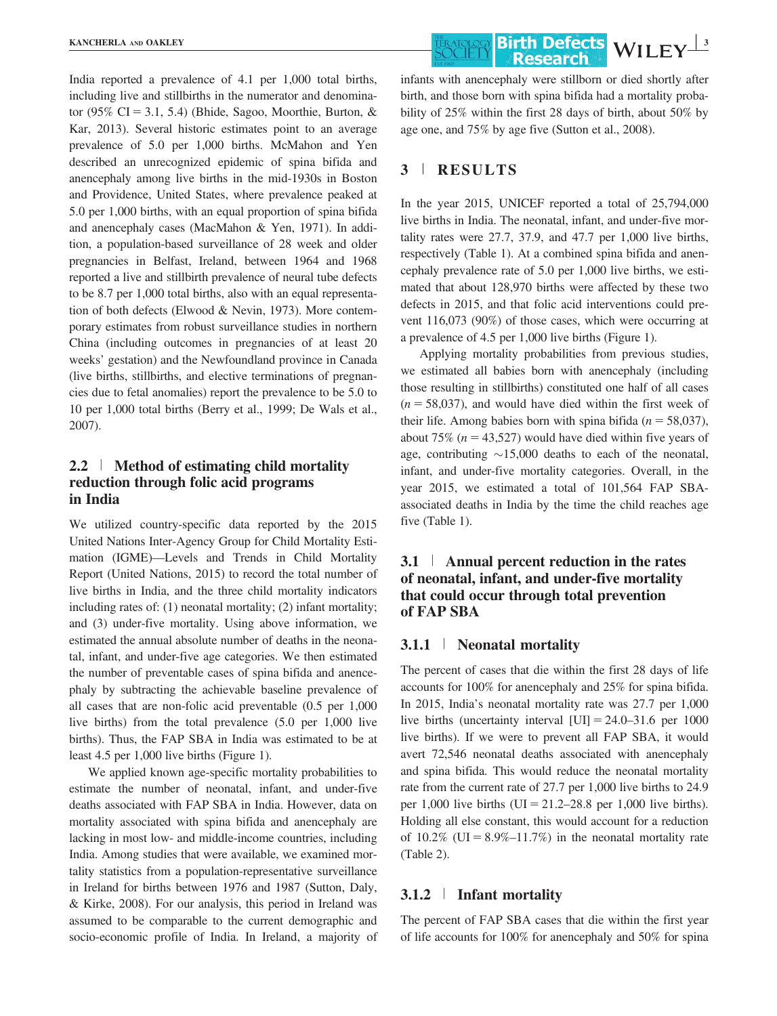India reported a prevalence of 4.1 per 1,000 total births, including live and stillbirths in the numerator and denominator (95% CI = 3.1, 5.4) (Bhide, Sagoo, Moorthie, Burton, & Kar, 2013). Several historic estimates point to an average prevalence of 5.0 per 1,000 births. McMahon and Yen described an unrecognized epidemic of spina bifida and anencephaly among live births in the mid-1930s in Boston and Providence, United States, where prevalence peaked at 5.0 per 1,000 births, with an equal proportion of spina bifida and anencephaly cases (MacMahon & Yen, 1971). In addition, a population-based surveillance of 28 week and older pregnancies in Belfast, Ireland, between 1964 and 1968 reported a live and stillbirth prevalence of neural tube defects to be 8.7 per 1,000 total births, also with an equal representation of both defects (Elwood & Nevin, 1973). More contemporary estimates from robust surveillance studies in northern China (including outcomes in pregnancies of at least 20 weeks' gestation) and the Newfoundland province in Canada (live births, stillbirths, and elective terminations of pregnancies due to fetal anomalies) report the prevalence to be 5.0 to 10 per 1,000 total births (Berry et al., 1999; De Wals et al., 2007).

# 2.2 <sup>|</sup> Method of estimating child mortality reduction through folic acid programs in India

We utilized country-specific data reported by the 2015 United Nations Inter-Agency Group for Child Mortality Estimation (IGME)—Levels and Trends in Child Mortality Report (United Nations, 2015) to record the total number of live births in India, and the three child mortality indicators including rates of: (1) neonatal mortality; (2) infant mortality; and (3) under-five mortality. Using above information, we estimated the annual absolute number of deaths in the neonatal, infant, and under-five age categories. We then estimated the number of preventable cases of spina bifida and anencephaly by subtracting the achievable baseline prevalence of all cases that are non-folic acid preventable (0.5 per 1,000 live births) from the total prevalence (5.0 per 1,000 live births). Thus, the FAP SBA in India was estimated to be at least 4.5 per 1,000 live births (Figure 1).

We applied known age-specific mortality probabilities to estimate the number of neonatal, infant, and under-five deaths associated with FAP SBA in India. However, data on mortality associated with spina bifida and anencephaly are lacking in most low- and middle-income countries, including India. Among studies that were available, we examined mortality statistics from a population-representative surveillance in Ireland for births between 1976 and 1987 (Sutton, Daly, & Kirke, 2008). For our analysis, this period in Ireland was assumed to be comparable to the current demographic and socio-economic profile of India. In Ireland, a majority of infants with anencephaly were stillborn or died shortly after birth, and those born with spina bifida had a mortality probability of 25% within the first 28 days of birth, about 50% by age one, and 75% by age five (Sutton et al., 2008).

## 3 <sup>|</sup> RESULTS

In the year 2015, UNICEF reported a total of 25,794,000 live births in India. The neonatal, infant, and under-five mortality rates were 27.7, 37.9, and 47.7 per 1,000 live births, respectively (Table 1). At a combined spina bifida and anencephaly prevalence rate of 5.0 per 1,000 live births, we estimated that about 128,970 births were affected by these two defects in 2015, and that folic acid interventions could prevent 116,073 (90%) of those cases, which were occurring at a prevalence of 4.5 per 1,000 live births (Figure 1).

Applying mortality probabilities from previous studies, we estimated all babies born with anencephaly (including those resulting in stillbirths) constituted one half of all cases  $(n = 58,037)$ , and would have died within the first week of their life. Among babies born with spina bifida ( $n = 58,037$ ), about 75% ( $n = 43,527$ ) would have died within five years of age, contributing  $\sim$ 15,000 deaths to each of the neonatal, infant, and under-five mortality categories. Overall, in the year 2015, we estimated a total of 101,564 FAP SBAassociated deaths in India by the time the child reaches age five (Table 1).

# 3.1 <sup>|</sup> Annual percent reduction in the rates of neonatal, infant, and under-five mortality that could occur through total prevention of FAP SBA

### 3.1.1 <sup>|</sup> Neonatal mortality

The percent of cases that die within the first 28 days of life accounts for 100% for anencephaly and 25% for spina bifida. In 2015, India's neonatal mortality rate was 27.7 per 1,000 live births (uncertainty interval  $\text{[UI]} = 24.0 - 31.6$  per 1000 live births). If we were to prevent all FAP SBA, it would avert 72,546 neonatal deaths associated with anencephaly and spina bifida. This would reduce the neonatal mortality rate from the current rate of 27.7 per 1,000 live births to 24.9 per 1,000 live births (UI =  $21.2-28.8$  per 1,000 live births). Holding all else constant, this would account for a reduction of  $10.2\%$  (UI =  $8.9\%$  –11.7%) in the neonatal mortality rate (Table 2).

### 3.1.2 <sup>|</sup> Infant mortality

The percent of FAP SBA cases that die within the first year of life accounts for 100% for anencephaly and 50% for spina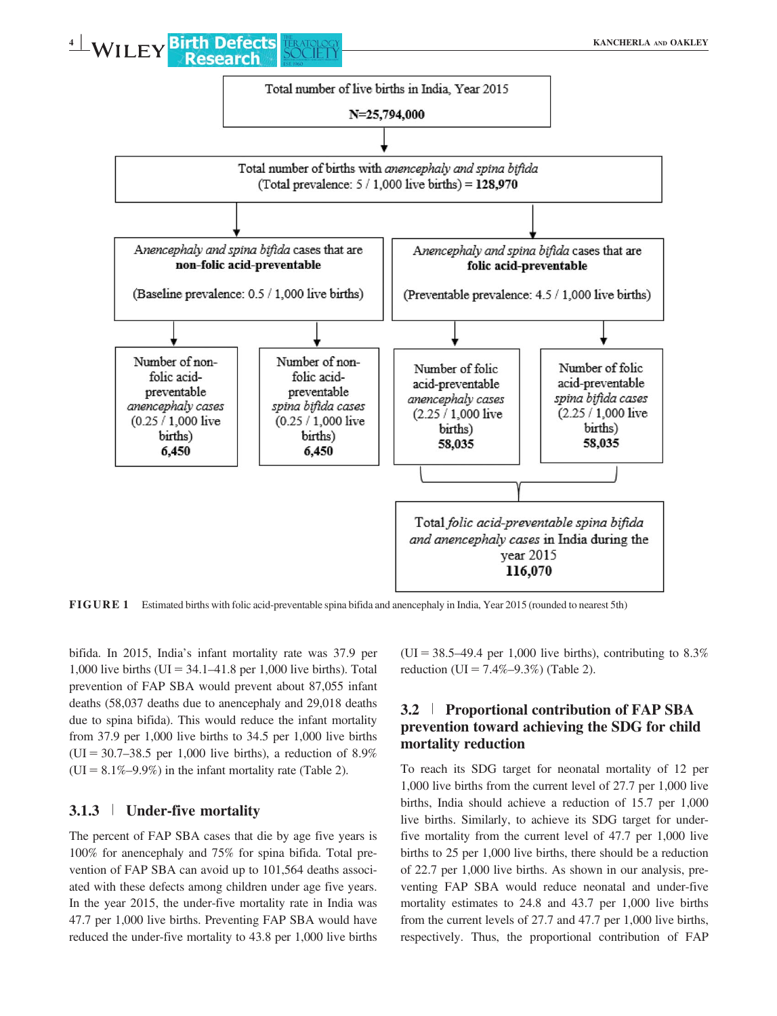

FIGURE 1 Estimated births with folic acid-preventable spina bifida and anencephaly in India, Year 2015 (rounded to nearest 5th)

bifida. In 2015, India's infant mortality rate was 37.9 per 1,000 live births (UI =  $34.1-41.8$  per 1,000 live births). Total prevention of FAP SBA would prevent about 87,055 infant deaths (58,037 deaths due to anencephaly and 29,018 deaths due to spina bifida). This would reduce the infant mortality from 37.9 per 1,000 live births to 34.5 per 1,000 live births  $(UI = 30.7 - 38.5$  per 1,000 live births), a reduction of 8.9%  $(UI = 8.1\% - 9.9\%)$  in the infant mortality rate (Table 2).

## 3.1.3 <sup>|</sup> Under-five mortality

The percent of FAP SBA cases that die by age five years is 100% for anencephaly and 75% for spina bifida. Total prevention of FAP SBA can avoid up to 101,564 deaths associated with these defects among children under age five years. In the year 2015, the under-five mortality rate in India was 47.7 per 1,000 live births. Preventing FAP SBA would have reduced the under-five mortality to 43.8 per 1,000 live births

 $(UI = 38.5-49.4$  per 1,000 live births), contributing to 8.3% reduction (UI =  $7.4\% - 9.3\%$ ) (Table 2).

## 3.2 <sup>|</sup> Proportional contribution of FAP SBA prevention toward achieving the SDG for child mortality reduction

To reach its SDG target for neonatal mortality of 12 per 1,000 live births from the current level of 27.7 per 1,000 live births, India should achieve a reduction of 15.7 per 1,000 live births. Similarly, to achieve its SDG target for underfive mortality from the current level of 47.7 per 1,000 live births to 25 per 1,000 live births, there should be a reduction of 22.7 per 1,000 live births. As shown in our analysis, preventing FAP SBA would reduce neonatal and under-five mortality estimates to 24.8 and 43.7 per 1,000 live births from the current levels of 27.7 and 47.7 per 1,000 live births, respectively. Thus, the proportional contribution of FAP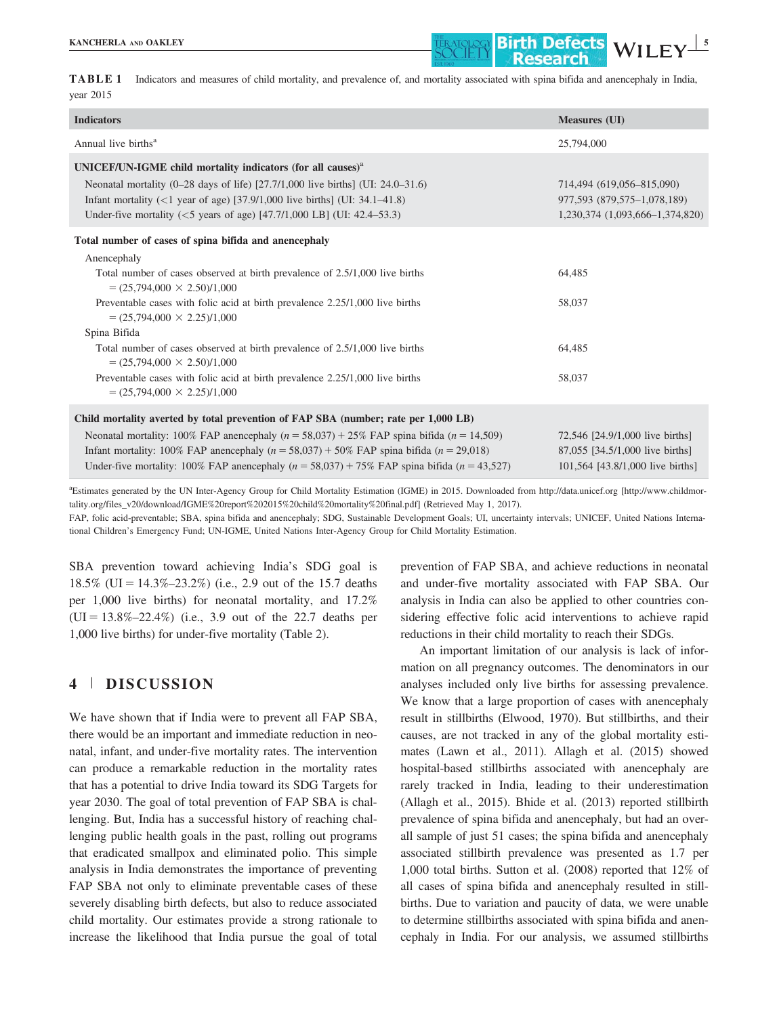

TABLE 1 Indicators and measures of child mortality, and prevalence of, and mortality associated with spina bifida and anencephaly in India, year 2015

| <b>Indicators</b>                                                                                                                                                                                                                                                                                                             | <b>Measures (UI)</b>                                                                                   |
|-------------------------------------------------------------------------------------------------------------------------------------------------------------------------------------------------------------------------------------------------------------------------------------------------------------------------------|--------------------------------------------------------------------------------------------------------|
| Annual live births <sup>a</sup>                                                                                                                                                                                                                                                                                               | 25,794,000                                                                                             |
| UNICEF/UN-IGME child mortality indicators (for all causes) $aa$<br>Neonatal mortality $(0-28 \text{ days of life})$ [27.7/1,000 live births] (UI: 24.0–31.6)<br>Infant mortality $(<1$ year of age) [37.9/1,000 live births] (UI: 34.1–41.8)<br>Under-five mortality ( $\leq$ 5 years of age) [47.7/1,000 LB] (UI: 42.4–53.3) | 714,494 (619,056-815,090)<br>977,593 (879,575-1,078,189)<br>1,230,374 (1,093,666-1,374,820)            |
| Total number of cases of spina bifida and anencephaly                                                                                                                                                                                                                                                                         |                                                                                                        |
| Anencephaly<br>Total number of cases observed at birth prevalence of 2.5/1,000 live births<br>$=(25,794,000 \times 2.50)/1,000$<br>Preventable cases with folic acid at birth prevalence 2.25/1,000 live births<br>$=(25,794,000 \times 2.25)/1,000$                                                                          | 64,485<br>58,037                                                                                       |
| Spina Bifida                                                                                                                                                                                                                                                                                                                  |                                                                                                        |
| Total number of cases observed at birth prevalence of 2.5/1,000 live births<br>$=(25,794,000 \times 2.50)/1,000$                                                                                                                                                                                                              | 64.485                                                                                                 |
| Preventable cases with folic acid at birth prevalence 2.25/1,000 live births<br>$=(25,794,000 \times 2.25)/1,000$                                                                                                                                                                                                             | 58,037                                                                                                 |
| Child mortality averted by total prevention of FAP SBA (number; rate per 1,000 LB)                                                                                                                                                                                                                                            |                                                                                                        |
| Neonatal mortality: 100% FAP anencephaly $(n = 58,037) + 25%$ FAP spina bifida $(n = 14,509)$<br>Infant mortality: 100% FAP anencephaly $(n = 58,037) + 50%$ FAP spina bifida $(n = 29,018)$<br>Under-five mortality: 100% FAP and needphaly $(n = 58,037) + 75%$ FAP spina bifida $(n = 43,527)$                             | 72,546 [24.9/1,000 live births]<br>87,055 [34.5/1,000 live births]<br>101,564 [43.8/1,000 live births] |

a Estimates generated by the UN Inter-Agency Group for Child Mortality Estimation (IGME) in 2015. Downloaded from<http://data.unicef.org> [\[http://www.childmor](http://www.childmortality.org/files_v20/download/IGME%20report%202015%20child%20mortality%20final.pdf)[tality.org/files\\_v20/download/IGME%20report%202015%20child%20mortality%20final.pdf\]](http://www.childmortality.org/files_v20/download/IGME%20report%202015%20child%20mortality%20final.pdf) (Retrieved May 1, 2017).

FAP, folic acid-preventable; SBA, spina bifida and anencephaly; SDG, Sustainable Development Goals; UI, uncertainty intervals; UNICEF, United Nations International Children's Emergency Fund; UN-IGME, United Nations Inter-Agency Group for Child Mortality Estimation.

SBA prevention toward achieving India's SDG goal is 18.5% (UI =  $14.3\% - 23.2\%$ ) (i.e., 2.9 out of the 15.7 deaths per 1,000 live births) for neonatal mortality, and 17.2%  $(UI = 13.8\% - 22.4\%)$  (i.e., 3.9 out of the 22.7 deaths per 1,000 live births) for under-five mortality (Table 2).

## 4 <sup>|</sup> DISCUSSION

We have shown that if India were to prevent all FAP SBA, there would be an important and immediate reduction in neonatal, infant, and under-five mortality rates. The intervention can produce a remarkable reduction in the mortality rates that has a potential to drive India toward its SDG Targets for year 2030. The goal of total prevention of FAP SBA is challenging. But, India has a successful history of reaching challenging public health goals in the past, rolling out programs that eradicated smallpox and eliminated polio. This simple analysis in India demonstrates the importance of preventing FAP SBA not only to eliminate preventable cases of these severely disabling birth defects, but also to reduce associated child mortality. Our estimates provide a strong rationale to increase the likelihood that India pursue the goal of total

prevention of FAP SBA, and achieve reductions in neonatal and under-five mortality associated with FAP SBA. Our analysis in India can also be applied to other countries considering effective folic acid interventions to achieve rapid reductions in their child mortality to reach their SDGs.

An important limitation of our analysis is lack of information on all pregnancy outcomes. The denominators in our analyses included only live births for assessing prevalence. We know that a large proportion of cases with anencephaly result in stillbirths (Elwood, 1970). But stillbirths, and their causes, are not tracked in any of the global mortality estimates (Lawn et al., 2011). Allagh et al. (2015) showed hospital-based stillbirths associated with anencephaly are rarely tracked in India, leading to their underestimation (Allagh et al., 2015). Bhide et al. (2013) reported stillbirth prevalence of spina bifida and anencephaly, but had an overall sample of just 51 cases; the spina bifida and anencephaly associated stillbirth prevalence was presented as 1.7 per 1,000 total births. Sutton et al. (2008) reported that 12% of all cases of spina bifida and anencephaly resulted in stillbirths. Due to variation and paucity of data, we were unable to determine stillbirths associated with spina bifida and anencephaly in India. For our analysis, we assumed stillbirths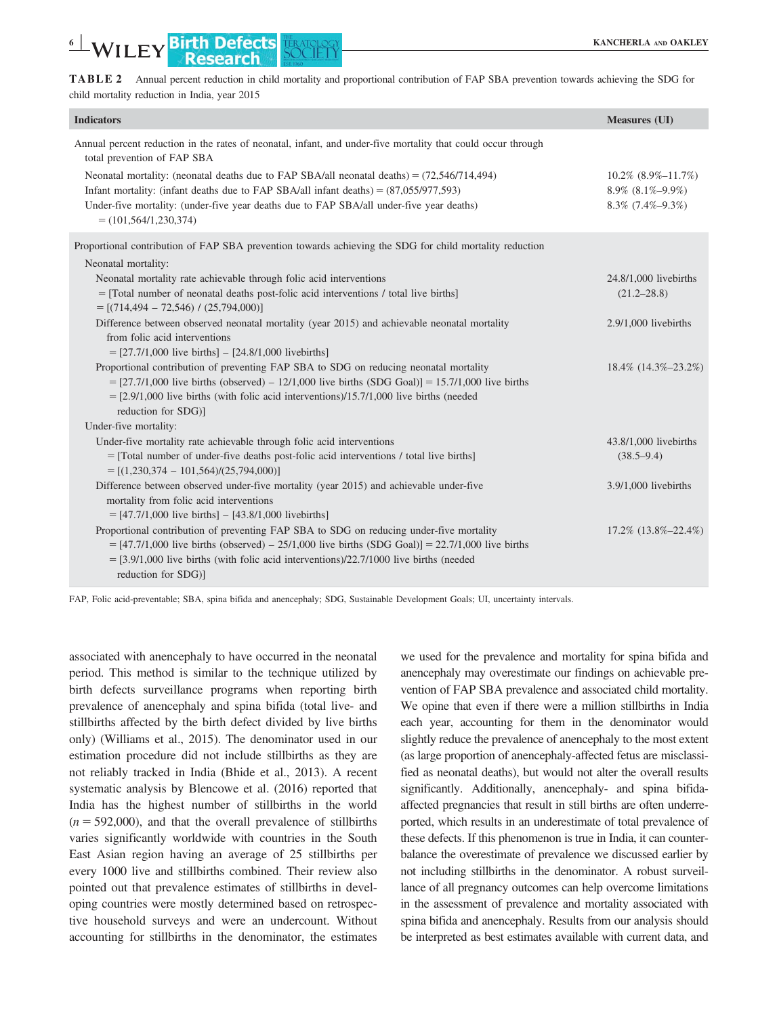TABLE 2 Annual percent reduction in child mortality and proportional contribution of FAP SBA prevention towards achieving the SDG for child mortality reduction in India, year 2015

| <b>Indicators</b>                                                                                                                                                                           | <b>Measures (UI)</b>         |
|---------------------------------------------------------------------------------------------------------------------------------------------------------------------------------------------|------------------------------|
| Annual percent reduction in the rates of neonatal, infant, and under-five mortality that could occur through<br>total prevention of FAP SBA                                                 |                              |
| Neonatal mortality: (neonatal deaths due to FAP SBA/all neonatal deaths) = $(72,546/714,494)$                                                                                               | $10.2\%$ (8.9%-11.7%)        |
| Infant mortality: (infant deaths due to FAP SBA/all infant deaths) = $(87,055/977,593)$                                                                                                     | $8.9\%$ $(8.1\% - 9.9\%)$    |
| Under-five mortality: (under-five year deaths due to FAP SBA/all under-five year deaths)<br>$= (101, 564/1, 230, 374)$                                                                      | $8.3\%$ (7.4%-9.3%)          |
| Proportional contribution of FAP SBA prevention towards achieving the SDG for child mortality reduction                                                                                     |                              |
| Neonatal mortality:                                                                                                                                                                         |                              |
| Neonatal mortality rate achievable through folic acid interventions                                                                                                                         | 24.8/1,000 livebirths        |
| = [Total number of neonatal deaths post-folic acid interventions / total live births]                                                                                                       | $(21.2 - 28.8)$              |
| $=[(714, 494 - 72, 546) / (25, 794, 000)]$                                                                                                                                                  |                              |
| Difference between observed neonatal mortality (year 2015) and achievable neonatal mortality                                                                                                | $2.9/1,000$ livebirths       |
| from folic acid interventions                                                                                                                                                               |                              |
| $= [27.7/1,000]$ live births] $- [24.8/1,000]$ live births]                                                                                                                                 |                              |
| Proportional contribution of preventing FAP SBA to SDG on reducing neonatal mortality<br>$=$ [27.7/1,000 live births (observed) – 12/1,000 live births (SDG Goal)] = 15.7/1,000 live births | 18.4% (14.3%-23.2%)          |
| $=$ [2.9/1,000 live births (with folic acid interventions)/15.7/1,000 live births (needed                                                                                                   |                              |
| reduction for SDG)]                                                                                                                                                                         |                              |
| Under-five mortality:                                                                                                                                                                       |                              |
| Under-five mortality rate achievable through folic acid interventions                                                                                                                       | 43.8/1,000 livebirths        |
| = [Total number of under-five deaths post-folic acid interventions / total live births]                                                                                                     | $(38.5 - 9.4)$               |
| $=[(1,230,374 - 101,564)/(25,794,000)]$                                                                                                                                                     |                              |
| Difference between observed under-five mortality (year 2015) and achievable under-five                                                                                                      | $3.9/1,000$ livebirths       |
| mortality from folic acid interventions                                                                                                                                                     |                              |
| $=$ [47.7/1,000 live births] $-$ [43.8/1,000 livebirths]                                                                                                                                    |                              |
| Proportional contribution of preventing FAP SBA to SDG on reducing under-five mortality                                                                                                     | $17.2\%$ $(13.8\% - 22.4\%)$ |
| $=$ [47.7/1,000 live births (observed) – 25/1,000 live births (SDG Goal)] = 22.7/1,000 live births                                                                                          |                              |
| $=$ [3.9/1,000 live births (with folic acid interventions)/22.7/1000 live births (needed                                                                                                    |                              |
| reduction for SDG)]                                                                                                                                                                         |                              |

FAP, Folic acid-preventable; SBA, spina bifida and anencephaly; SDG, Sustainable Development Goals; UI, uncertainty intervals.

associated with anencephaly to have occurred in the neonatal period. This method is similar to the technique utilized by birth defects surveillance programs when reporting birth prevalence of anencephaly and spina bifida (total live- and stillbirths affected by the birth defect divided by live births only) (Williams et al., 2015). The denominator used in our estimation procedure did not include stillbirths as they are not reliably tracked in India (Bhide et al., 2013). A recent systematic analysis by Blencowe et al. (2016) reported that India has the highest number of stillbirths in the world  $(n = 592,000)$ , and that the overall prevalence of stillbirths varies significantly worldwide with countries in the South East Asian region having an average of 25 stillbirths per every 1000 live and stillbirths combined. Their review also pointed out that prevalence estimates of stillbirths in developing countries were mostly determined based on retrospective household surveys and were an undercount. Without accounting for stillbirths in the denominator, the estimates

we used for the prevalence and mortality for spina bifida and anencephaly may overestimate our findings on achievable prevention of FAP SBA prevalence and associated child mortality. We opine that even if there were a million stillbirths in India each year, accounting for them in the denominator would slightly reduce the prevalence of anencephaly to the most extent (as large proportion of anencephaly-affected fetus are misclassified as neonatal deaths), but would not alter the overall results significantly. Additionally, anencephaly- and spina bifidaaffected pregnancies that result in still births are often underreported, which results in an underestimate of total prevalence of these defects. If this phenomenon is true in India, it can counterbalance the overestimate of prevalence we discussed earlier by not including stillbirths in the denominator. A robust surveillance of all pregnancy outcomes can help overcome limitations in the assessment of prevalence and mortality associated with spina bifida and anencephaly. Results from our analysis should be interpreted as best estimates available with current data, and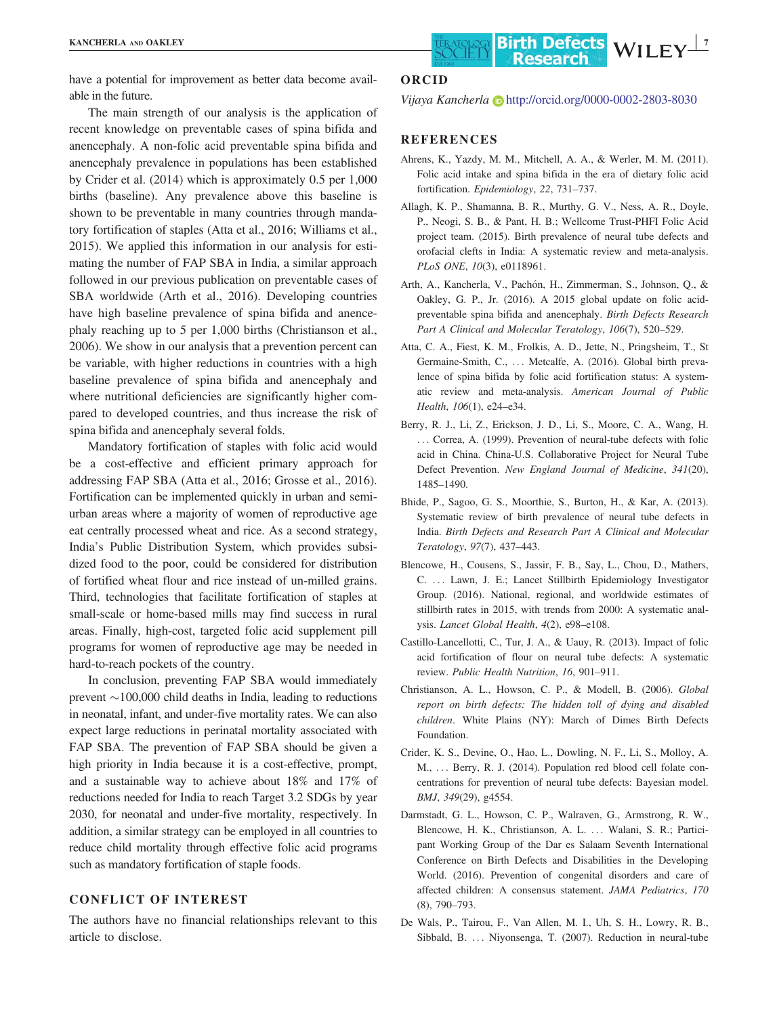have a potential for improvement as better data become available in the future.

The main strength of our analysis is the application of recent knowledge on preventable cases of spina bifida and anencephaly. A non-folic acid preventable spina bifida and anencephaly prevalence in populations has been established by Crider et al. (2014) which is approximately 0.5 per 1,000 births (baseline). Any prevalence above this baseline is shown to be preventable in many countries through mandatory fortification of staples (Atta et al., 2016; Williams et al., 2015). We applied this information in our analysis for estimating the number of FAP SBA in India, a similar approach followed in our previous publication on preventable cases of SBA worldwide (Arth et al., 2016). Developing countries have high baseline prevalence of spina bifida and anencephaly reaching up to 5 per 1,000 births (Christianson et al., 2006). We show in our analysis that a prevention percent can be variable, with higher reductions in countries with a high baseline prevalence of spina bifida and anencephaly and where nutritional deficiencies are significantly higher compared to developed countries, and thus increase the risk of spina bifida and anencephaly several folds.

Mandatory fortification of staples with folic acid would be a cost-effective and efficient primary approach for addressing FAP SBA (Atta et al., 2016; Grosse et al., 2016). Fortification can be implemented quickly in urban and semiurban areas where a majority of women of reproductive age eat centrally processed wheat and rice. As a second strategy, India's Public Distribution System, which provides subsidized food to the poor, could be considered for distribution of fortified wheat flour and rice instead of un-milled grains. Third, technologies that facilitate fortification of staples at small-scale or home-based mills may find success in rural areas. Finally, high-cost, targeted folic acid supplement pill programs for women of reproductive age may be needed in hard-to-reach pockets of the country.

In conclusion, preventing FAP SBA would immediately prevent  $\sim$ 100,000 child deaths in India, leading to reductions in neonatal, infant, and under-five mortality rates. We can also expect large reductions in perinatal mortality associated with FAP SBA. The prevention of FAP SBA should be given a high priority in India because it is a cost-effective, prompt, and a sustainable way to achieve about 18% and 17% of reductions needed for India to reach Target 3.2 SDGs by year 2030, for neonatal and under-five mortality, respectively. In addition, a similar strategy can be employed in all countries to reduce child mortality through effective folic acid programs such as mandatory fortification of staple foods.

#### CONFLICT OF INTEREST

The authors have no financial relationships relevant to this article to disclose.

#### ORCID

Vijaya Kancherla i <http://orcid.org/0000-0002-2803-8030>

#### REFERENCES

- Ahrens, K., Yazdy, M. M., Mitchell, A. A., & Werler, M. M. (2011). Folic acid intake and spina bifida in the era of dietary folic acid fortification. Epidemiology, 22, 731–737.
- Allagh, K. P., Shamanna, B. R., Murthy, G. V., Ness, A. R., Doyle, P., Neogi, S. B., & Pant, H. B.; Wellcome Trust-PHFI Folic Acid project team. (2015). Birth prevalence of neural tube defects and orofacial clefts in India: A systematic review and meta-analysis. PLoS ONE, 10(3), e0118961.
- Arth, A., Kancherla, V., Pachón, H., Zimmerman, S., Johnson, Q., & Oakley, G. P., Jr. (2016). A 2015 global update on folic acidpreventable spina bifida and anencephaly. Birth Defects Research Part A Clinical and Molecular Teratology, 106(7), 520–529.
- Atta, C. A., Fiest, K. M., Frolkis, A. D., Jette, N., Pringsheim, T., St Germaine-Smith, C., ... Metcalfe, A. (2016). Global birth prevalence of spina bifida by folic acid fortification status: A systematic review and meta-analysis. American Journal of Public Health, 106(1), e24–e34.
- Berry, R. J., Li, Z., Erickson, J. D., Li, S., Moore, C. A., Wang, H. ... Correa, A. (1999). Prevention of neural-tube defects with folic acid in China. China-U.S. Collaborative Project for Neural Tube Defect Prevention. New England Journal of Medicine, 341(20), 1485–1490.
- Bhide, P., Sagoo, G. S., Moorthie, S., Burton, H., & Kar, A. (2013). Systematic review of birth prevalence of neural tube defects in India. Birth Defects and Research Part A Clinical and Molecular Teratology, 97(7), 437–443.
- Blencowe, H., Cousens, S., Jassir, F. B., Say, L., Chou, D., Mathers, C. ... Lawn, J. E.; Lancet Stillbirth Epidemiology Investigator Group. (2016). National, regional, and worldwide estimates of stillbirth rates in 2015, with trends from 2000: A systematic analysis. Lancet Global Health, 4(2), e98–e108.
- Castillo-Lancellotti, C., Tur, J. A., & Uauy, R. (2013). Impact of folic acid fortification of flour on neural tube defects: A systematic review. Public Health Nutrition, 16, 901–911.
- Christianson, A. L., Howson, C. P., & Modell, B. (2006). Global report on birth defects: The hidden toll of dying and disabled children. White Plains (NY): March of Dimes Birth Defects Foundation.
- Crider, K. S., Devine, O., Hao, L., Dowling, N. F., Li, S., Molloy, A. M., ... Berry, R. J. (2014). Population red blood cell folate concentrations for prevention of neural tube defects: Bayesian model. BMJ, 349(29), g4554.
- Darmstadt, G. L., Howson, C. P., Walraven, G., Armstrong, R. W., Blencowe, H. K., Christianson, A. L. ... Walani, S. R.; Participant Working Group of the Dar es Salaam Seventh International Conference on Birth Defects and Disabilities in the Developing World. (2016). Prevention of congenital disorders and care of affected children: A consensus statement. JAMA Pediatrics, 170 (8), 790–793.
- De Wals, P., Tairou, F., Van Allen, M. I., Uh, S. H., Lowry, R. B., Sibbald, B. ... Niyonsenga, T. (2007). Reduction in neural-tube